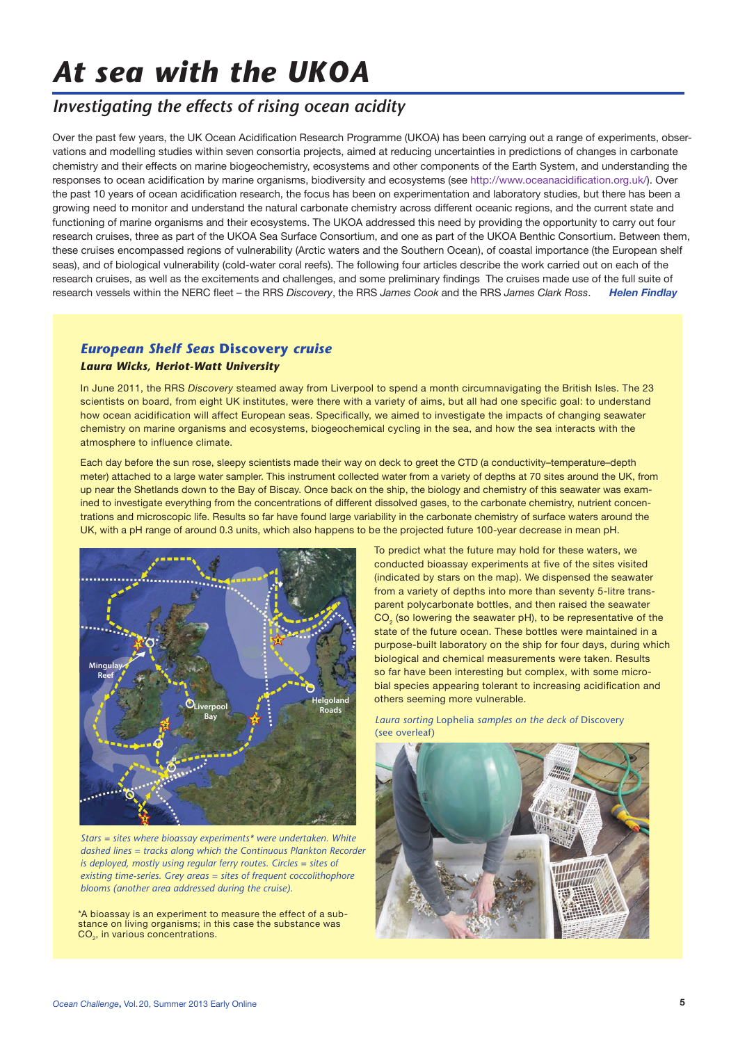# *At sea with the UKOA*

# *Investigating the effects of rising ocean acidity*

Over the past few years, the UK Ocean Acidification Research Programme (UKOA) has been carrying out a range of experiments, observations and modelling studies within seven consortia projects, aimed at reducing uncertainties in predictions of changes in carbonate chemistry and their effects on marine biogeochemistry, ecosystems and other components of the Earth System, and understanding the responses to ocean acidification by marine organisms, biodiversity and ecosystems (see http://www.oceanacidification.org.uk/). Over the past 10 years of ocean acidification research, the focus has been on experimentation and laboratory studies, but there has been a growing need to monitor and understand the natural carbonate chemistry across different oceanic regions, and the current state and functioning of marine organisms and their ecosystems. The UKOA addressed this need by providing the opportunity to carry out four research cruises, three as part of the UKOA Sea Surface Consortium, and one as part of the UKOA Benthic Consortium. Between them, these cruises encompassed regions of vulnerability (Arctic waters and the Southern Ocean), of coastal importance (the European shelf seas), and of biological vulnerability (cold-water coral reefs). The following four articles describe the work carried out on each of the research cruises, as well as the excitements and challenges, and some preliminary findings The cruises made use of the full suite of research vessels within the NERC fleet – the RRS *Discovery*, the RRS *James Cook* and the RRS *James Clark Ross*. *Helen Findlay*

## *European Shelf Seas* **Discovery** *cruise Laura Wicks, Heriot-Watt University*

In June 2011, the RRS *Discovery* steamed away from Liverpool to spend a month circumnavigating the British Isles. The 23 scientists on board, from eight UK institutes, were there with a variety of aims, but all had one specific goal: to understand how ocean acidification will affect European seas. Specifically, we aimed to investigate the impacts of changing seawater chemistry on marine organisms and ecosystems, biogeochemical cycling in the sea, and how the sea interacts with the atmosphere to influence climate.

Each day before the sun rose, sleepy scientists made their way on deck to greet the CTD (a conductivity–temperature–depth meter) attached to a large water sampler. This instrument collected water from a variety of depths at 70 sites around the UK, from up near the Shetlands down to the Bay of Biscay. Once back on the ship, the biology and chemistry of this seawater was examined to investigate everything from the concentrations of different dissolved gases, to the carbonate chemistry, nutrient concentrations and microscopic life. Results so far have found large variability in the carbonate chemistry of surface waters around the UK, with a pH range of around 0.3 units, which also happens to be the projected future 100-year decrease in mean pH.



*Stars = sites where bioassay experiments\* were undertaken. White dashed lines = tracks along which the Continuous Plankton Recorder is deployed, mostly using regular ferry routes. Circles = sites of existing time-series. Grey areas = sites of frequent coccolithophore blooms (another area addressed during the cruise).*

\*A bioassay is an experiment to measure the effect of a substance on living organisms; in this case the substance was CO<sub>2</sub>, in various concentrations.

To predict what the future may hold for these waters, we conducted bioassay experiments at five of the sites visited (indicated by stars on the map). We dispensed the seawater from a variety of depths into more than seventy 5-litre transparent polycarbonate bottles, and then raised the seawater CO<sub>2</sub> (so lowering the seawater pH), to be representative of the state of the future ocean. These bottles were maintained in a purpose-built laboratory on the ship for four days, during which biological and chemical measurements were taken. Results so far have been interesting but complex, with some microbial species appearing tolerant to increasing acidification and others seeming more vulnerable.

*Laura sorting* Lophelia *samples on the deck of* Discovery (see overleaf)

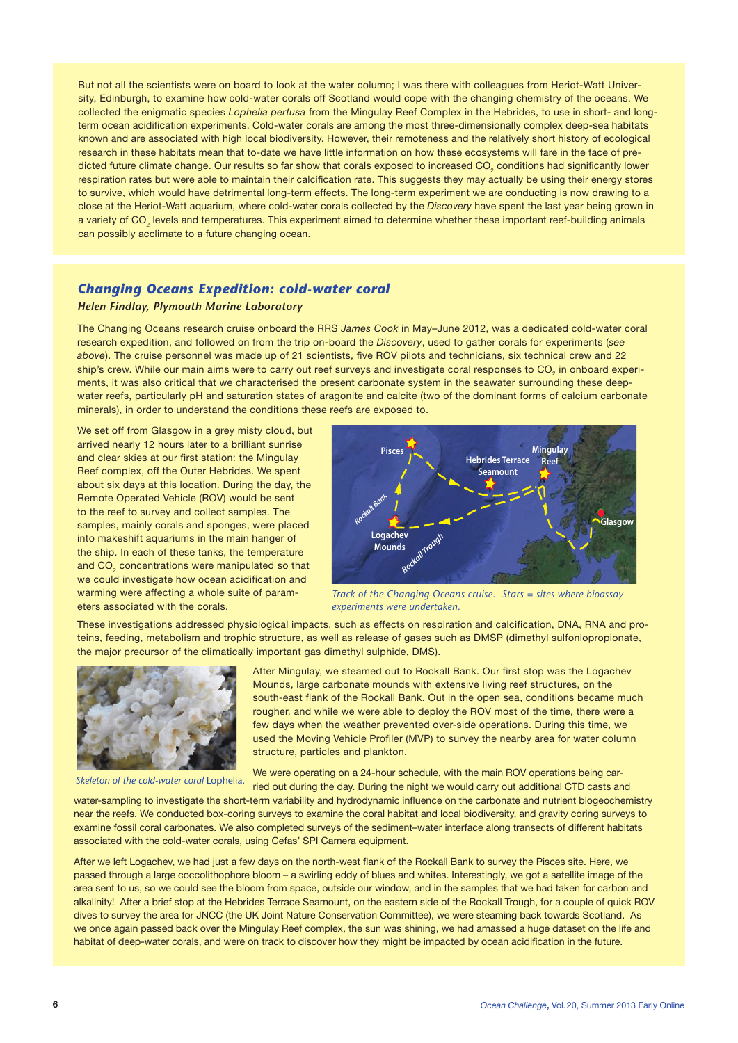But not all the scientists were on board to look at the water column; I was there with colleagues from Heriot-Watt University, Edinburgh, to examine how cold-water corals off Scotland would cope with the changing chemistry of the oceans. We collected the enigmatic species *Lophelia pertusa* from the Mingulay Reef Complex in the Hebrides, to use in short- and longterm ocean acidification experiments. Cold-water corals are among the most three-dimensionally complex deep-sea habitats known and are associated with high local biodiversity. However, their remoteness and the relatively short history of ecological research in these habitats mean that to-date we have little information on how these ecosystems will fare in the face of predicted future climate change. Our results so far show that corals exposed to increased CO $_{_2}$  conditions had significantly lower respiration rates but were able to maintain their calcification rate. This suggests they may actually be using their energy stores to survive, which would have detrimental long-term effects. The long-term experiment we are conducting is now drawing to a close at the Heriot-Watt aquarium, where cold-water corals collected by the *Discovery* have spent the last year being grown in a variety of CO $_2$  levels and temperatures. This experiment aimed to determine whether these important reef-building animals can possibly acclimate to a future changing ocean.

#### *Changing Oceans Expedition: cold-water coral*

#### *Helen Findlay, Plymouth Marine Laboratory*

The Changing Oceans research cruise onboard the RRS *James Cook* in May–June 2012, was a dedicated cold-water coral research expedition, and followed on from the trip on-board the *Discovery*, used to gather corals for experiments (*see above*). The cruise personnel was made up of 21 scientists, five ROV pilots and technicians, six technical crew and 22 ship's crew. While our main aims were to carry out reef surveys and investigate coral responses to CO<sub>2</sub> in onboard experiments, it was also critical that we characterised the present carbonate system in the seawater surrounding these deepwater reefs, particularly pH and saturation states of aragonite and calcite (two of the dominant forms of calcium carbonate minerals), in order to understand the conditions these reefs are exposed to.

We set off from Glasgow in a grey misty cloud, but arrived nearly 12 hours later to a brilliant sunrise and clear skies at our first station: the Mingulay Reef complex, off the Outer Hebrides. We spent about six days at this location. During the day, the Remote Operated Vehicle (ROV) would be sent to the reef to survey and collect samples. The samples, mainly corals and sponges, were placed into makeshift aquariums in the main hanger of the ship. In each of these tanks, the temperature and CO<sub>2</sub> concentrations were manipulated so that we could investigate how ocean acidification and warming were affecting a whole suite of parameters associated with the corals.



*Track of the Changing Oceans cruise. Stars = sites where bioassay experiments were undertaken.* 

These investigations addressed physiological impacts, such as effects on respiration and calcification, DNA, RNA and proteins, feeding, metabolism and trophic structure, as well as release of gases such as DMSP (dimethyl sulfoniopropionate, the major precursor of the climatically important gas dimethyl sulphide, DMS).



*Skeleton of the cold-water coral* Lophelia.

After Mingulay, we steamed out to Rockall Bank. Our first stop was the Logachev Mounds, large carbonate mounds with extensive living reef structures, on the south-east flank of the Rockall Bank. Out in the open sea, conditions became much rougher, and while we were able to deploy the ROV most of the time, there were a few days when the weather prevented over-side operations. During this time, we used the Moving Vehicle Profiler (MVP) to survey the nearby area for water column structure, particles and plankton.

We were operating on a 24-hour schedule, with the main ROV operations being carried out during the day. During the night we would carry out additional CTD casts and

water-sampling to investigate the short-term variability and hydrodynamic influence on the carbonate and nutrient biogeochemistry near the reefs. We conducted box-coring surveys to examine the coral habitat and local biodiversity, and gravity coring surveys to examine fossil coral carbonates. We also completed surveys of the sediment–water interface along transects of different habitats associated with the cold-water corals, using Cefas' SPI Camera equipment.

After we left Logachev, we had just a few days on the north-west flank of the Rockall Bank to survey the Pisces site. Here, we passed through a large coccolithophore bloom – a swirling eddy of blues and whites. Interestingly, we got a satellite image of the area sent to us, so we could see the bloom from space, outside our window, and in the samples that we had taken for carbon and alkalinity! After a brief stop at the Hebrides Terrace Seamount, on the eastern side of the Rockall Trough, for a couple of quick ROV dives to survey the area for JNCC (the UK Joint Nature Conservation Committee), we were steaming back towards Scotland. As we once again passed back over the Mingulay Reef complex, the sun was shining, we had amassed a huge dataset on the life and habitat of deep-water corals, and were on track to discover how they might be impacted by ocean acidification in the future.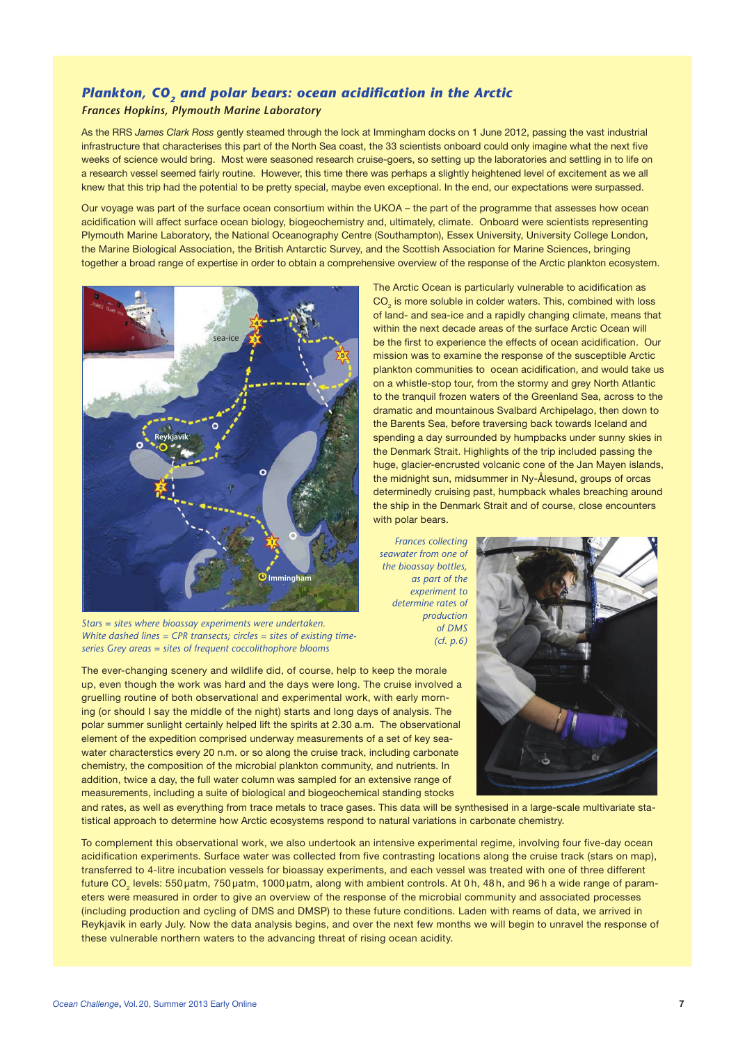# *Plankton, CO<sub>2</sub> and polar bears: ocean acidification in the Arctic*

### *Frances Hopkins, Plymouth Marine Laboratory*

As the RRS *James Clark Ross* gently steamed through the lock at Immingham docks on 1 June 2012, passing the vast industrial infrastructure that characterises this part of the North Sea coast, the 33 scientists onboard could only imagine what the next five weeks of science would bring. Most were seasoned research cruise-goers, so setting up the laboratories and settling in to life on a research vessel seemed fairly routine. However, this time there was perhaps a slightly heightened level of excitement as we all knew that this trip had the potential to be pretty special, maybe even exceptional. In the end, our expectations were surpassed.

Our voyage was part of the surface ocean consortium within the UKOA – the part of the programme that assesses how ocean acidification will affect surface ocean biology, biogeochemistry and, ultimately, climate. Onboard were scientists representing Plymouth Marine Laboratory, the National Oceanography Centre (Southampton), Essex University, University College London, the Marine Biological Association, the British Antarctic Survey, and the Scottish Association for Marine Sciences, bringing together a broad range of expertise in order to obtain a comprehensive overview of the response of the Arctic plankton ecosystem.



 $\mathrm{CO}_2$  is more soluble in colder waters. This, combined with loss of land- and sea-ice and a rapidly changing climate, means that within the next decade areas of the surface Arctic Ocean will be the first to experience the effects of ocean acidification. Our mission was to examine the response of the susceptible Arctic plankton communities to ocean acidification, and would take us on a whistle-stop tour, from the stormy and grey North Atlantic to the tranquil frozen waters of the Greenland Sea, across to the dramatic and mountainous Svalbard Archipelago, then down to the Barents Sea, before traversing back towards Iceland and spending a day surrounded by humpbacks under sunny skies in the Denmark Strait. Highlights of the trip included passing the huge, glacier-encrusted volcanic cone of the Jan Mayen islands, the midnight sun, midsummer in Ny-Ålesund, groups of orcas determinedly cruising past, humpback whales breaching around the ship in the Denmark Strait and of course, close encounters with polar bears.

The Arctic Ocean is particularly vulnerable to acidification as

*Stars = sites where bioassay experiments were undertaken. the bioassay bottles, as part of the experiment to determine rates of* 

*White dashed lines = CPR transects; circles = sites of existing timeseries Grey areas = sites of frequent coccolithophore blooms*

The ever-changing scenery and wildlife did, of course, help to keep the morale up, even though the work was hard and the days were long. The cruise involved a gruelling routine of both observational and experimental work, with early morning (or should I say the middle of the night) starts and long days of analysis. The polar summer sunlight certainly helped lift the spirits at 2.30 a.m. The observational element of the expedition comprised underway measurements of a set of key seawater characterstics every 20 n.m. or so along the cruise track, including carbonate chemistry, the composition of the microbial plankton community, and nutrients. In addition, twice a day, the full water column was sampled for an extensive range of measurements, including a suite of biological and biogeochemical standing stocks



and rates, as well as everything from trace metals to trace gases. This data will be synthesised in a large-scale multivariate statistical approach to determine how Arctic ecosystems respond to natural variations in carbonate chemistry.

To complement this observational work, we also undertook an intensive experimental regime, involving four five-day ocean acidification experiments. Surface water was collected from five contrasting locations along the cruise track (stars on map), transferred to 4-litre incubation vessels for bioassay experiments, and each vessel was treated with one of three different future CO<sub>2</sub> levels: 550 µatm, 750 µatm, 1000 µatm, along with ambient controls. At 0 h, 48 h, and 96 h a wide range of parameters were measured in order to give an overview of the response of the microbial community and associated processes (including production and cycling of DMS and DMSP) to these future conditions. Laden with reams of data, we arrived in Reykjavik in early July. Now the data analysis begins, and over the next few months we will begin to unravel the response of these vulnerable northern waters to the advancing threat of rising ocean acidity.